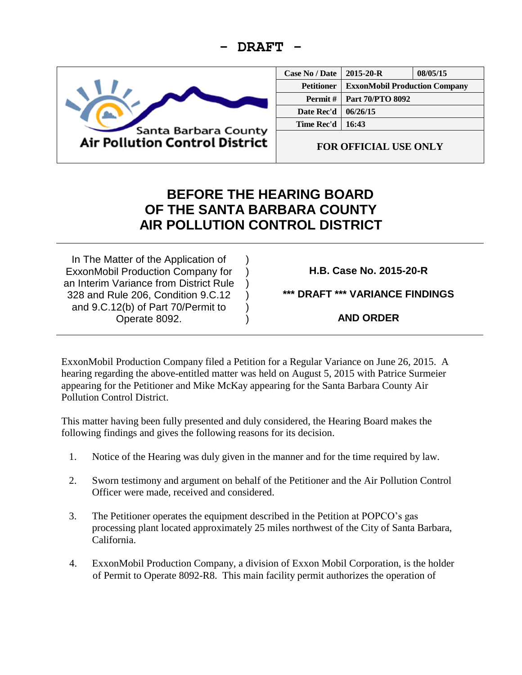



| <b>Case No / Date</b> | $2015 - 20 - R$                      | 08/05/15 |
|-----------------------|--------------------------------------|----------|
| <b>Petitioner</b>     | <b>ExxonMobil Production Company</b> |          |
| Permit#               | Part 70/PTO 8092                     |          |
| Date Rec'd            | 06/26/15                             |          |
| Time Rec'd            | 16:43                                |          |
|                       |                                      |          |

**FOR OFFICIAL USE ONLY**

## **BEFORE THE HEARING BOARD OF THE SANTA BARBARA COUNTY AIR POLLUTION CONTROL DISTRICT**

)  $\lambda$ ) ) ) )

In The Matter of the Application of ExxonMobil Production Company for an Interim Variance from District Rule 328 and Rule 206, Condition 9.C.12 and 9.C.12(b) of Part 70/Permit to Operate 8092.

**H.B. Case No. 2015-20-R**

**\*\*\* DRAFT \*\*\* VARIANCE FINDINGS**

**AND ORDER**

ExxonMobil Production Company filed a Petition for a Regular Variance on June 26, 2015. A hearing regarding the above-entitled matter was held on August 5, 2015 with Patrice Surmeier appearing for the Petitioner and Mike McKay appearing for the Santa Barbara County Air Pollution Control District.

This matter having been fully presented and duly considered, the Hearing Board makes the following findings and gives the following reasons for its decision.

- 1. Notice of the Hearing was duly given in the manner and for the time required by law.
- 2. Sworn testimony and argument on behalf of the Petitioner and the Air Pollution Control Officer were made, received and considered.
- 3. The Petitioner operates the equipment described in the Petition at POPCO's gas processing plant located approximately 25 miles northwest of the City of Santa Barbara, California.
- 4. ExxonMobil Production Company, a division of Exxon Mobil Corporation, is the holder of Permit to Operate 8092-R8. This main facility permit authorizes the operation of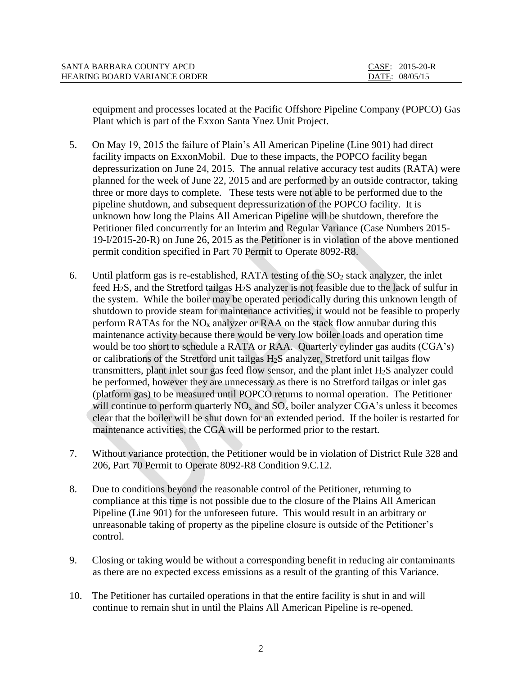| SANTA BARBARA COUNTY APCD           | CASE: 2015-20-R |
|-------------------------------------|-----------------|
| <b>HEARING BOARD VARIANCE ORDER</b> | DATE: 08/05/15  |

equipment and processes located at the Pacific Offshore Pipeline Company (POPCO) Gas Plant which is part of the Exxon Santa Ynez Unit Project.

- 5. On May 19, 2015 the failure of Plain's All American Pipeline (Line 901) had direct facility impacts on ExxonMobil. Due to these impacts, the POPCO facility began depressurization on June 24, 2015. The annual relative accuracy test audits (RATA) were planned for the week of June 22, 2015 and are performed by an outside contractor, taking three or more days to complete. These tests were not able to be performed due to the pipeline shutdown, and subsequent depressurization of the POPCO facility. It is unknown how long the Plains All American Pipeline will be shutdown, therefore the Petitioner filed concurrently for an Interim and Regular Variance (Case Numbers 2015- 19-I/2015-20-R) on June 26, 2015 as the Petitioner is in violation of the above mentioned permit condition specified in Part 70 Permit to Operate 8092-R8.
- 6. Until platform gas is re-established, RATA testing of the  $SO<sub>2</sub>$  stack analyzer, the inlet feed H2S, and the Stretford tailgas H2S analyzer is not feasible due to the lack of sulfur in the system. While the boiler may be operated periodically during this unknown length of shutdown to provide steam for maintenance activities, it would not be feasible to properly perform RATAs for the  $NO<sub>x</sub>$  analyzer or RAA on the stack flow annubar during this maintenance activity because there would be very low boiler loads and operation time would be too short to schedule a RATA or RAA. Quarterly cylinder gas audits (CGA's) or calibrations of the Stretford unit tailgas H2S analyzer, Stretford unit tailgas flow transmitters, plant inlet sour gas feed flow sensor, and the plant inlet  $H_2S$  analyzer could be performed, however they are unnecessary as there is no Stretford tailgas or inlet gas (platform gas) to be measured until POPCO returns to normal operation. The Petitioner will continue to perform quarterly  $NO<sub>x</sub>$  and  $SO<sub>x</sub>$  boiler analyzer  $CGA<sup>2</sup>$ s unless it becomes clear that the boiler will be shut down for an extended period. If the boiler is restarted for maintenance activities, the CGA will be performed prior to the restart.
- 7. Without variance protection, the Petitioner would be in violation of District Rule 328 and 206, Part 70 Permit to Operate 8092-R8 Condition 9.C.12.
- 8. Due to conditions beyond the reasonable control of the Petitioner, returning to compliance at this time is not possible due to the closure of the Plains All American Pipeline (Line 901) for the unforeseen future. This would result in an arbitrary or unreasonable taking of property as the pipeline closure is outside of the Petitioner's control.
- 9. Closing or taking would be without a corresponding benefit in reducing air contaminants as there are no expected excess emissions as a result of the granting of this Variance.
- 10. The Petitioner has curtailed operations in that the entire facility is shut in and will continue to remain shut in until the Plains All American Pipeline is re-opened.